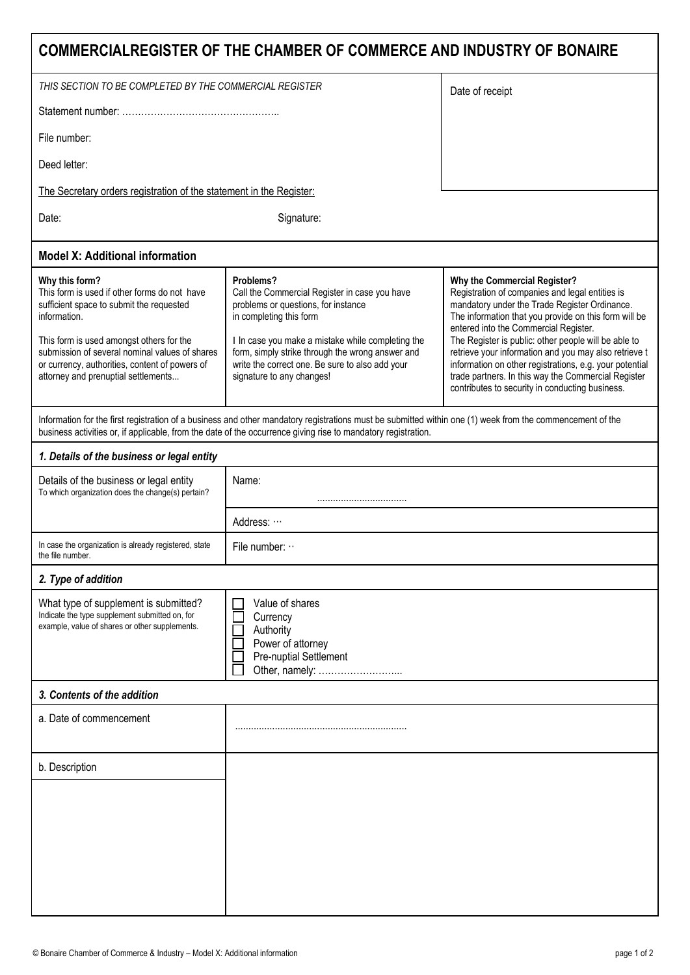| COMMERCIALREGISTER OF THE CHAMBER OF COMMERCE AND INDUSTRY OF BONAIRE                                                                                                                                                                                                                                             |                                                                                                                                                                                                                                                                                                                       |                                                                                                                                                                                                                                                                                                                                                                                                                                                                                                                          |
|-------------------------------------------------------------------------------------------------------------------------------------------------------------------------------------------------------------------------------------------------------------------------------------------------------------------|-----------------------------------------------------------------------------------------------------------------------------------------------------------------------------------------------------------------------------------------------------------------------------------------------------------------------|--------------------------------------------------------------------------------------------------------------------------------------------------------------------------------------------------------------------------------------------------------------------------------------------------------------------------------------------------------------------------------------------------------------------------------------------------------------------------------------------------------------------------|
| THIS SECTION TO BE COMPLETED BY THE COMMERCIAL REGISTER                                                                                                                                                                                                                                                           |                                                                                                                                                                                                                                                                                                                       | Date of receipt                                                                                                                                                                                                                                                                                                                                                                                                                                                                                                          |
|                                                                                                                                                                                                                                                                                                                   |                                                                                                                                                                                                                                                                                                                       |                                                                                                                                                                                                                                                                                                                                                                                                                                                                                                                          |
| File number:                                                                                                                                                                                                                                                                                                      |                                                                                                                                                                                                                                                                                                                       |                                                                                                                                                                                                                                                                                                                                                                                                                                                                                                                          |
| Deed letter:                                                                                                                                                                                                                                                                                                      |                                                                                                                                                                                                                                                                                                                       |                                                                                                                                                                                                                                                                                                                                                                                                                                                                                                                          |
| The Secretary orders registration of the statement in the Register:                                                                                                                                                                                                                                               |                                                                                                                                                                                                                                                                                                                       |                                                                                                                                                                                                                                                                                                                                                                                                                                                                                                                          |
| Date:                                                                                                                                                                                                                                                                                                             | Signature:                                                                                                                                                                                                                                                                                                            |                                                                                                                                                                                                                                                                                                                                                                                                                                                                                                                          |
| <b>Model X: Additional information</b>                                                                                                                                                                                                                                                                            |                                                                                                                                                                                                                                                                                                                       |                                                                                                                                                                                                                                                                                                                                                                                                                                                                                                                          |
| Why this form?<br>This form is used if other forms do not have<br>sufficient space to submit the requested<br>information.<br>This form is used amongst others for the<br>submission of several nominal values of shares<br>or currency, authorities, content of powers of<br>attorney and prenuptial settlements | Problems?<br>Call the Commercial Register in case you have<br>problems or questions, for instance<br>in completing this form<br>I In case you make a mistake while completing the<br>form, simply strike through the wrong answer and<br>write the correct one. Be sure to also add your<br>signature to any changes! | Why the Commercial Register?<br>Registration of companies and legal entities is<br>mandatory under the Trade Register Ordinance.<br>The information that you provide on this form will be<br>entered into the Commercial Register.<br>The Register is public: other people will be able to<br>retrieve your information and you may also retrieve t<br>information on other registrations, e.g. your potential<br>trade partners. In this way the Commercial Register<br>contributes to security in conducting business. |
| Information for the first registration of a business and other mandatory registrations must be submitted within one (1) week from the commencement of the<br>business activities or, if applicable, from the date of the occurrence giving rise to mandatory registration.                                        |                                                                                                                                                                                                                                                                                                                       |                                                                                                                                                                                                                                                                                                                                                                                                                                                                                                                          |
| 1. Details of the business or legal entity                                                                                                                                                                                                                                                                        |                                                                                                                                                                                                                                                                                                                       |                                                                                                                                                                                                                                                                                                                                                                                                                                                                                                                          |
| Details of the business or legal entity<br>To which organization does the change(s) pertain?                                                                                                                                                                                                                      | Name:                                                                                                                                                                                                                                                                                                                 |                                                                                                                                                                                                                                                                                                                                                                                                                                                                                                                          |
|                                                                                                                                                                                                                                                                                                                   | Address:                                                                                                                                                                                                                                                                                                              |                                                                                                                                                                                                                                                                                                                                                                                                                                                                                                                          |
| In case the organization is already registered, state<br>the file number.                                                                                                                                                                                                                                         | File number: $\cdot \cdot$                                                                                                                                                                                                                                                                                            |                                                                                                                                                                                                                                                                                                                                                                                                                                                                                                                          |
| 2. Type of addition                                                                                                                                                                                                                                                                                               |                                                                                                                                                                                                                                                                                                                       |                                                                                                                                                                                                                                                                                                                                                                                                                                                                                                                          |
| What type of supplement is submitted?<br>Indicate the type supplement submitted on, for<br>example, value of shares or other supplements.                                                                                                                                                                         | Value of shares<br>Currency<br>Authority<br>Power of attorney<br>Pre-nuptial Settlement<br>Other, namely:                                                                                                                                                                                                             |                                                                                                                                                                                                                                                                                                                                                                                                                                                                                                                          |
| 3. Contents of the addition                                                                                                                                                                                                                                                                                       |                                                                                                                                                                                                                                                                                                                       |                                                                                                                                                                                                                                                                                                                                                                                                                                                                                                                          |
| a. Date of commencement                                                                                                                                                                                                                                                                                           |                                                                                                                                                                                                                                                                                                                       |                                                                                                                                                                                                                                                                                                                                                                                                                                                                                                                          |
| b. Description                                                                                                                                                                                                                                                                                                    |                                                                                                                                                                                                                                                                                                                       |                                                                                                                                                                                                                                                                                                                                                                                                                                                                                                                          |
|                                                                                                                                                                                                                                                                                                                   |                                                                                                                                                                                                                                                                                                                       |                                                                                                                                                                                                                                                                                                                                                                                                                                                                                                                          |